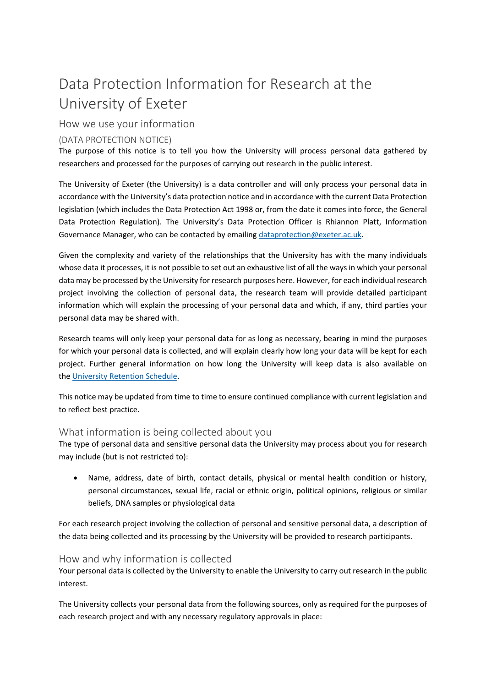# Data Protection Information for Research at the University of Exeter

# How we use your information

## (DATA PROTECTION NOTICE)

The purpose of this notice is to tell you how the University will process personal data gathered by researchers and processed for the purposes of carrying out research in the public interest.

The University of Exeter (the University) is a data controller and will only process your personal data in accordance with the University's data protection notice and in accordance with the current Data Protection legislation (which includes the Data Protection Act 1998 or, from the date it comes into force, the General Data Protection Regulation). The University's Data Protection Officer is Rhiannon Platt, Information Governance Manager, who can be contacted by emailing dataprotection@exeter.ac.uk.

Given the complexity and variety of the relationships that the University has with the many individuals whose data it processes, it is not possible to set out an exhaustive list of all the waysin which your personal data may be processed by the University for research purposes here. However, for each individual research project involving the collection of personal data, the research team will provide detailed participant information which will explain the processing of your personal data and which, if any, third parties your personal data may be shared with.

Research teams will only keep your personal data for as long as necessary, bearing in mind the purposes for which your personal data is collected, and will explain clearly how long your data will be kept for each project. Further general information on how long the University will keep data is also available on the University Retention Schedule.

This notice may be updated from time to time to ensure continued compliance with current legislation and to reflect best practice.

## What information is being collected about you

The type of personal data and sensitive personal data the University may process about you for research may include (but is not restricted to):

 Name, address, date of birth, contact details, physical or mental health condition or history, personal circumstances, sexual life, racial or ethnic origin, political opinions, religious or similar beliefs, DNA samples or physiological data

For each research project involving the collection of personal and sensitive personal data, a description of the data being collected and its processing by the University will be provided to research participants.

## How and why information is collected

Your personal data is collected by the University to enable the University to carry out research in the public interest.

The University collects your personal data from the following sources, only as required for the purposes of each research project and with any necessary regulatory approvals in place: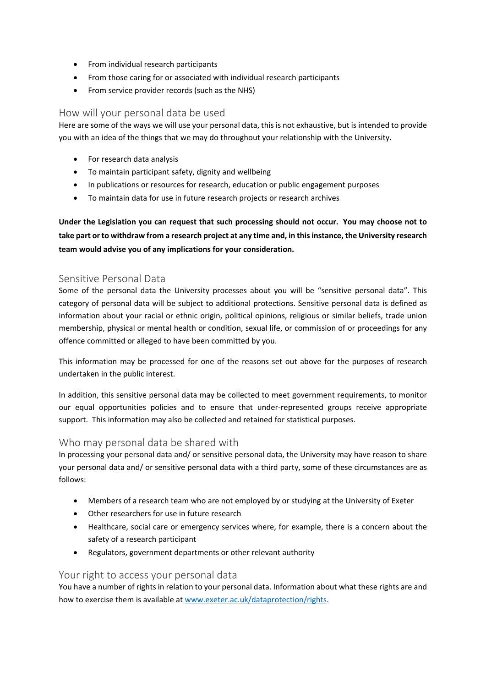- From individual research participants
- From those caring for or associated with individual research participants
- From service provider records (such as the NHS)

#### How will your personal data be used

Here are some of the ways we will use your personal data, this is not exhaustive, but is intended to provide you with an idea of the things that we may do throughout your relationship with the University.

- For research data analysis
- To maintain participant safety, dignity and wellbeing
- In publications or resources for research, education or public engagement purposes
- To maintain data for use in future research projects or research archives

Under the Legislation you can request that such processing should not occur. You may choose not to take part or to withdraw from a research project at any time and, in this instance, the University research **team would advise you of any implications for your consideration.** 

## Sensitive Personal Data

Some of the personal data the University processes about you will be "sensitive personal data". This category of personal data will be subject to additional protections. Sensitive personal data is defined as information about your racial or ethnic origin, political opinions, religious or similar beliefs, trade union membership, physical or mental health or condition, sexual life, or commission of or proceedings for any offence committed or alleged to have been committed by you.

This information may be processed for one of the reasons set out above for the purposes of research undertaken in the public interest.

In addition, this sensitive personal data may be collected to meet government requirements, to monitor our equal opportunities policies and to ensure that under-represented groups receive appropriate support. This information may also be collected and retained for statistical purposes.

## Who may personal data be shared with

In processing your personal data and/ or sensitive personal data, the University may have reason to share your personal data and/ or sensitive personal data with a third party, some of these circumstances are as follows:

- Members of a research team who are not employed by or studying at the University of Exeter
- Other researchers for use in future research
- Healthcare, social care or emergency services where, for example, there is a concern about the safety of a research participant
- Regulators, government departments or other relevant authority

#### Your right to access your personal data

You have a number of rights in relation to your personal data. Information about what these rights are and how to exercise them is available at www.exeter.ac.uk/dataprotection/rights.